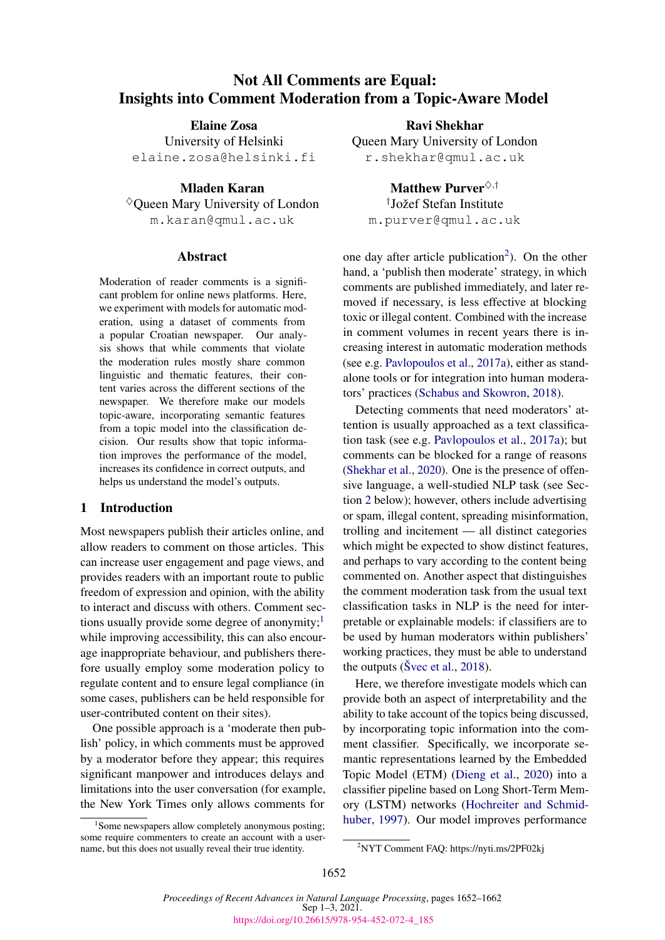# Not All Comments are Equal: Insights into Comment Moderation from a Topic-Aware Model

Elaine Zosa University of Helsinki elaine.zosa@helsinki.fi

Mladen Karan  $\Diamond$  Oueen Mary University of London m.karan@qmul.ac.uk

#### Abstract

Moderation of reader comments is a significant problem for online news platforms. Here, we experiment with models for automatic moderation, using a dataset of comments from a popular Croatian newspaper. Our analysis shows that while comments that violate the moderation rules mostly share common linguistic and thematic features, their content varies across the different sections of the newspaper. We therefore make our models topic-aware, incorporating semantic features from a topic model into the classification decision. Our results show that topic information improves the performance of the model, increases its confidence in correct outputs, and helps us understand the model's outputs.

# 1 Introduction

Most newspapers publish their articles online, and allow readers to comment on those articles. This can increase user engagement and page views, and provides readers with an important route to public freedom of expression and opinion, with the ability to interact and discuss with others. Comment sections usually provide some degree of anonymity; $\frac{1}{1}$  $\frac{1}{1}$  $\frac{1}{1}$ while improving accessibility, this can also encourage inappropriate behaviour, and publishers therefore usually employ some moderation policy to regulate content and to ensure legal compliance (in some cases, publishers can be held responsible for user-contributed content on their sites).

One possible approach is a 'moderate then publish' policy, in which comments must be approved by a moderator before they appear; this requires significant manpower and introduces delays and limitations into the user conversation (for example, the New York Times only allows comments for

Ravi Shekhar Queen Mary University of London r.shekhar@qmul.ac.uk

Matthew Purver<sup> $\diamond, \dagger$ </sup> † Jožef Stefan Institute m.purver@qmul.ac.uk

one day after article publication<sup>[2](#page-0-1)</sup>). On the other hand, a 'publish then moderate' strategy, in which comments are published immediately, and later removed if necessary, is less effective at blocking toxic or illegal content. Combined with the increase in comment volumes in recent years there is increasing interest in automatic moderation methods (see e.g. [Pavlopoulos et al.,](#page-9-0) [2017a\)](#page-9-0), either as standalone tools or for integration into human moderators' practices [\(Schabus and Skowron,](#page-9-1) [2018\)](#page-9-1).

Detecting comments that need moderators' attention is usually approached as a text classification task (see e.g. [Pavlopoulos et al.,](#page-9-0) [2017a\)](#page-9-0); but comments can be blocked for a range of reasons [\(Shekhar et al.,](#page-9-2) [2020\)](#page-9-2). One is the presence of offensive language, a well-studied NLP task (see Section [2](#page-1-0) below); however, others include advertising or spam, illegal content, spreading misinformation, trolling and incitement — all distinct categories which might be expected to show distinct features, and perhaps to vary according to the content being commented on. Another aspect that distinguishes the comment moderation task from the usual text classification tasks in NLP is the need for interpretable or explainable models: if classifiers are to be used by human moderators within publishers' working practices, they must be able to understand the outputs [\(Švec et al.,](#page-9-3) [2018\)](#page-9-3).

Here, we therefore investigate models which can provide both an aspect of interpretability and the ability to take account of the topics being discussed, by incorporating topic information into the comment classifier. Specifically, we incorporate semantic representations learned by the Embedded Topic Model (ETM) [\(Dieng et al.,](#page-8-0) [2020\)](#page-8-0) into a classifier pipeline based on Long Short-Term Memory (LSTM) networks [\(Hochreiter and Schmid](#page-9-4)[huber,](#page-9-4) [1997\)](#page-9-4). Our model improves performance

<span id="page-0-0"></span><sup>&</sup>lt;sup>1</sup> Some newspapers allow completely anonymous posting; some require commenters to create an account with a username, but this does not usually reveal their true identity.

<span id="page-0-1"></span><sup>2</sup>NYT Comment FAQ: https://nyti.ms/2PF02kj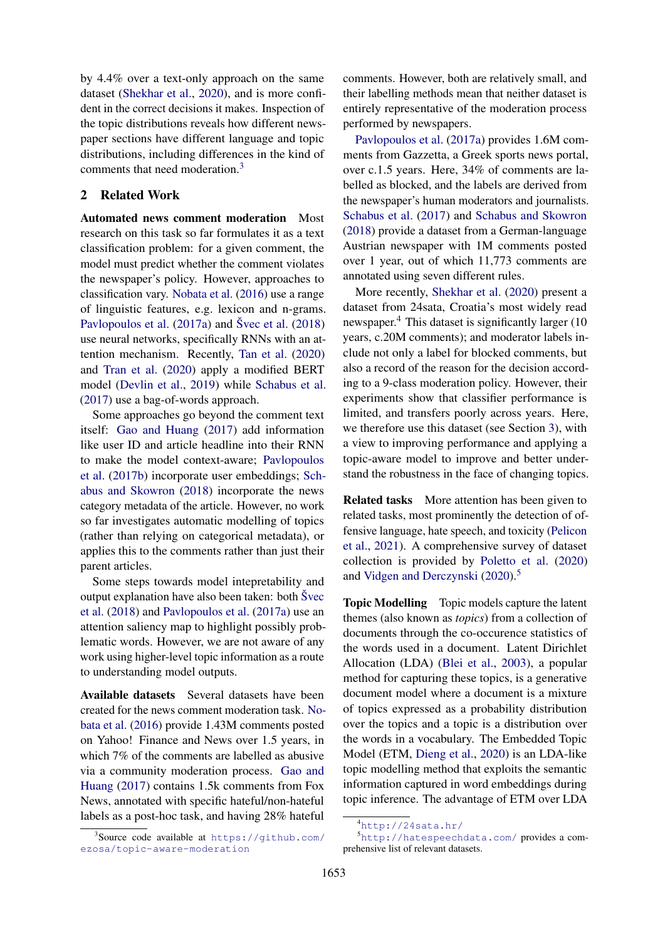by 4.4% over a text-only approach on the same dataset [\(Shekhar et al.,](#page-9-2) [2020\)](#page-9-2), and is more confident in the correct decisions it makes. Inspection of the topic distributions reveals how different newspaper sections have different language and topic distributions, including differences in the kind of comments that need moderation.<sup>[3](#page-1-1)</sup>

# <span id="page-1-0"></span>2 Related Work

Automated news comment moderation Most research on this task so far formulates it as a text classification problem: for a given comment, the model must predict whether the comment violates the newspaper's policy. However, approaches to classification vary. [Nobata et al.](#page-9-5) [\(2016\)](#page-9-5) use a range of linguistic features, e.g. lexicon and n-grams. [Pavlopoulos et al.](#page-9-0) [\(2017a\)](#page-9-0) and [Švec et al.](#page-9-3) [\(2018\)](#page-9-3) use neural networks, specifically RNNs with an attention mechanism. Recently, [Tan et al.](#page-9-6) [\(2020\)](#page-9-6) and [Tran et al.](#page-10-0) [\(2020\)](#page-10-0) apply a modified BERT model [\(Devlin et al.,](#page-8-1) [2019\)](#page-8-1) while [Schabus et al.](#page-9-7) [\(2017\)](#page-9-7) use a bag-of-words approach.

Some approaches go beyond the comment text itself: [Gao and Huang](#page-9-8) [\(2017\)](#page-9-8) add information like user ID and article headline into their RNN to make the model context-aware; [Pavlopoulos](#page-9-9) [et al.](#page-9-9) [\(2017b\)](#page-9-9) incorporate user embeddings; [Sch](#page-9-1)[abus and Skowron](#page-9-1) [\(2018\)](#page-9-1) incorporate the news category metadata of the article. However, no work so far investigates automatic modelling of topics (rather than relying on categorical metadata), or applies this to the comments rather than just their parent articles.

Some steps towards model intepretability and output explanation have also been taken: both [Švec](#page-9-3) [et al.](#page-9-3) [\(2018\)](#page-9-3) and [Pavlopoulos et al.](#page-9-0) [\(2017a\)](#page-9-0) use an attention saliency map to highlight possibly problematic words. However, we are not aware of any work using higher-level topic information as a route to understanding model outputs.

Available datasets Several datasets have been created for the news comment moderation task. [No](#page-9-5)[bata et al.](#page-9-5) [\(2016\)](#page-9-5) provide 1.43M comments posted on Yahoo! Finance and News over 1.5 years, in which 7% of the comments are labelled as abusive via a community moderation process. [Gao and](#page-9-8) [Huang](#page-9-8) [\(2017\)](#page-9-8) contains 1.5k comments from Fox News, annotated with specific hateful/non-hateful labels as a post-hoc task, and having 28% hateful

<span id="page-1-1"></span>3 Source code available at [https://github.com/](https://github.com/ezosa/topic-aware-moderation) [ezosa/topic-aware-moderation](https://github.com/ezosa/topic-aware-moderation)

comments. However, both are relatively small, and their labelling methods mean that neither dataset is entirely representative of the moderation process performed by newspapers.

[Pavlopoulos et al.](#page-9-0) [\(2017a\)](#page-9-0) provides 1.6M comments from Gazzetta, a Greek sports news portal, over c.1.5 years. Here, 34% of comments are labelled as blocked, and the labels are derived from the newspaper's human moderators and journalists. [Schabus et al.](#page-9-7) [\(2017\)](#page-9-7) and [Schabus and Skowron](#page-9-1) [\(2018\)](#page-9-1) provide a dataset from a German-language Austrian newspaper with 1M comments posted over 1 year, out of which 11,773 comments are annotated using seven different rules.

More recently, [Shekhar et al.](#page-9-2) [\(2020\)](#page-9-2) present a dataset from 24sata, Croatia's most widely read newspaper.<sup>[4](#page-1-2)</sup> This dataset is significantly larger (10) years, c.20M comments); and moderator labels include not only a label for blocked comments, but also a record of the reason for the decision according to a 9-class moderation policy. However, their experiments show that classifier performance is limited, and transfers poorly across years. Here, we therefore use this dataset (see Section [3\)](#page-2-0), with a view to improving performance and applying a topic-aware model to improve and better understand the robustness in the face of changing topics.

Related tasks More attention has been given to related tasks, most prominently the detection of offensive language, hate speech, and toxicity [\(Pelicon](#page-9-10) [et al.,](#page-9-10) [2021\)](#page-9-10). A comprehensive survey of dataset collection is provided by [Poletto et al.](#page-9-11) [\(2020\)](#page-9-11) and [Vidgen and Derczynski](#page-10-1) [\(2020\)](#page-10-1).<sup>[5](#page-1-3)</sup>

Topic Modelling Topic models capture the latent themes (also known as *topics*) from a collection of documents through the co-occurence statistics of the words used in a document. Latent Dirichlet Allocation (LDA) [\(Blei et al.,](#page-8-2) [2003\)](#page-8-2), a popular method for capturing these topics, is a generative document model where a document is a mixture of topics expressed as a probability distribution over the topics and a topic is a distribution over the words in a vocabulary. The Embedded Topic Model (ETM, [Dieng et al.,](#page-8-0) [2020\)](#page-8-0) is an LDA-like topic modelling method that exploits the semantic information captured in word embeddings during topic inference. The advantage of ETM over LDA

<sup>5</sup><http://hatespeechdata.com/> provides a comprehensive list of relevant datasets.

<span id="page-1-3"></span><span id="page-1-2"></span> $^{4}$ <http://24sata.hr/>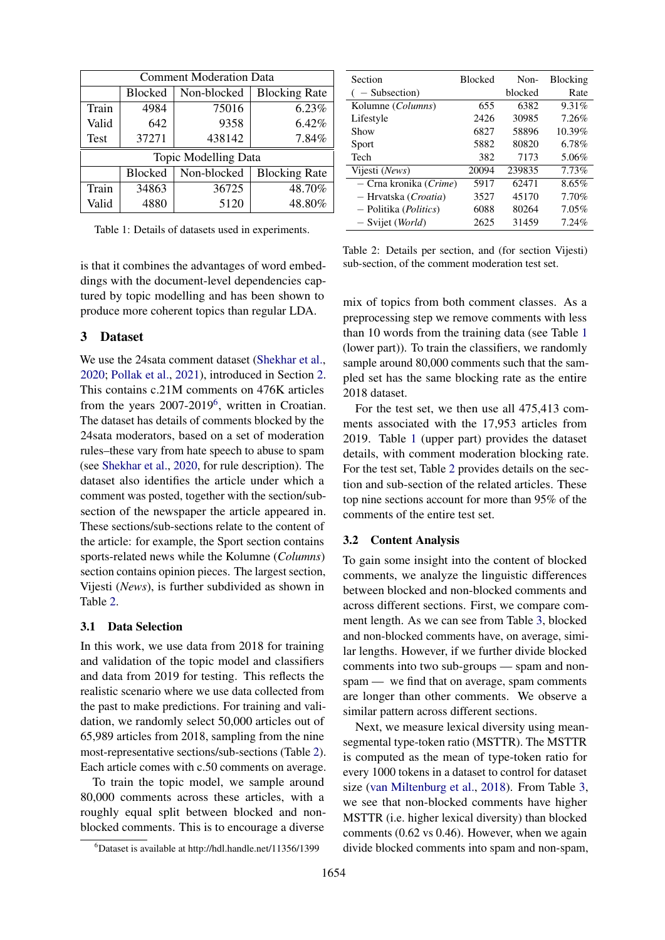<span id="page-2-3"></span>

| <b>Comment Moderation Data</b> |                |             |                      |  |  |  |  |
|--------------------------------|----------------|-------------|----------------------|--|--|--|--|
|                                | <b>Blocked</b> | Non-blocked | <b>Blocking Rate</b> |  |  |  |  |
| Train                          | 4984           | 75016       | 6.23%                |  |  |  |  |
| Valid                          | 642            | 9358        | 6.42%                |  |  |  |  |
| <b>Test</b>                    | 37271          | 438142      | 7.84%                |  |  |  |  |
| <b>Topic Modelling Data</b>    |                |             |                      |  |  |  |  |
|                                | <b>Blocked</b> | Non-blocked | <b>Blocking Rate</b> |  |  |  |  |
| Train                          | 34863          | 36725       | 48.70%               |  |  |  |  |
| Valid                          | 4880           | 5120        | 48.80%               |  |  |  |  |

Table 1: Details of datasets used in experiments.

is that it combines the advantages of word embeddings with the document-level dependencies captured by topic modelling and has been shown to produce more coherent topics than regular LDA.

# <span id="page-2-0"></span>3 Dataset

We use the 24sata comment dataset [\(Shekhar et al.,](#page-9-2) [2020;](#page-9-2) [Pollak et al.,](#page-9-12) [2021\)](#page-9-12), introduced in Section [2.](#page-1-0) This contains c.21M comments on 476K articles from the years 2007-2019<sup>[6](#page-2-1)</sup>, written in Croatian. The dataset has details of comments blocked by the 24sata moderators, based on a set of moderation rules–these vary from hate speech to abuse to spam (see [Shekhar et al.,](#page-9-2) [2020,](#page-9-2) for rule description). The dataset also identifies the article under which a comment was posted, together with the section/subsection of the newspaper the article appeared in. These sections/sub-sections relate to the content of the article: for example, the Sport section contains sports-related news while the Kolumne (*Columns*) section contains opinion pieces. The largest section, Vijesti (*News*), is further subdivided as shown in Table [2.](#page-2-2)

#### <span id="page-2-4"></span>3.1 Data Selection

In this work, we use data from 2018 for training and validation of the topic model and classifiers and data from 2019 for testing. This reflects the realistic scenario where we use data collected from the past to make predictions. For training and validation, we randomly select 50,000 articles out of 65,989 articles from 2018, sampling from the nine most-representative sections/sub-sections (Table [2\)](#page-2-2). Each article comes with c.50 comments on average.

To train the topic model, we sample around 80,000 comments across these articles, with a roughly equal split between blocked and nonblocked comments. This is to encourage a diverse

<span id="page-2-2"></span>

| Section                     | <b>Blocked</b> | Non-    | <b>Blocking</b> |
|-----------------------------|----------------|---------|-----------------|
| - Subsection)               |                | blocked | Rate            |
| Kolumne (Columns)           | 655            | 6382    | 9.31%           |
| Lifestyle                   | 2426           | 30985   | 7.26%           |
| Show                        | 6827           | 58896   | 10.39%          |
| Sport                       | 5882           | 80820   | 6.78%           |
| Tech                        | 382            | 7173    | 5.06%           |
| Vijesti (News)              | 20094          | 239835  | 7.73%           |
| - Crna kronika (Crime)      | 5917           | 62471   | 8.65%           |
| - Hrvatska (Croatia)        | 3527           | 45170   | 7.70%           |
| - Politika (Politics)       | 6088           | 80264   | 7.05%           |
| $-$ Svijet ( <i>World</i> ) | 2625           | 31459   | 7.24%           |

Table 2: Details per section, and (for section Vijesti) sub-section, of the comment moderation test set.

mix of topics from both comment classes. As a preprocessing step we remove comments with less than 10 words from the training data (see Table [1](#page-2-3) (lower part)). To train the classifiers, we randomly sample around 80,000 comments such that the sampled set has the same blocking rate as the entire 2018 dataset.

For the test set, we then use all 475,413 comments associated with the 17,953 articles from 2019. Table [1](#page-2-3) (upper part) provides the dataset details, with comment moderation blocking rate. For the test set, Table [2](#page-2-2) provides details on the section and sub-section of the related articles. These top nine sections account for more than 95% of the comments of the entire test set.

#### 3.2 Content Analysis

To gain some insight into the content of blocked comments, we analyze the linguistic differences between blocked and non-blocked comments and across different sections. First, we compare comment length. As we can see from Table [3,](#page-3-0) blocked and non-blocked comments have, on average, similar lengths. However, if we further divide blocked comments into two sub-groups — spam and nonspam — we find that on average, spam comments are longer than other comments. We observe a similar pattern across different sections.

Next, we measure lexical diversity using meansegmental type-token ratio (MSTTR). The MSTTR is computed as the mean of type-token ratio for every 1000 tokens in a dataset to control for dataset size [\(van Miltenburg et al.,](#page-9-13) [2018\)](#page-9-13). From Table [3,](#page-3-0) we see that non-blocked comments have higher MSTTR (i.e. higher lexical diversity) than blocked comments (0.62 vs 0.46). However, when we again divide blocked comments into spam and non-spam,

<span id="page-2-1"></span><sup>6</sup>Dataset is available at http://hdl.handle.net/11356/1399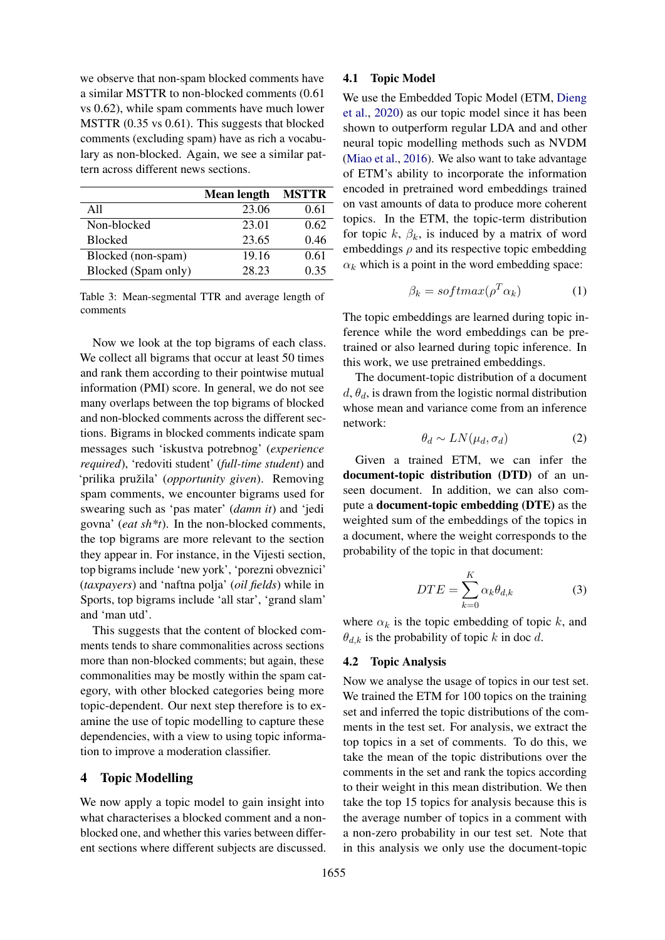we observe that non-spam blocked comments have a similar MSTTR to non-blocked comments (0.61 vs 0.62), while spam comments have much lower MSTTR (0.35 vs 0.61). This suggests that blocked comments (excluding spam) have as rich a vocabulary as non-blocked. Again, we see a similar pattern across different news sections.

<span id="page-3-0"></span>

|                     | <b>Mean length</b> | <b>MSTTR</b> |
|---------------------|--------------------|--------------|
| A11                 | 23.06              | 0.61         |
| Non-blocked         | 23.01              | 0.62         |
| <b>Blocked</b>      | 23.65              | 0.46         |
| Blocked (non-spam)  | 19.16              | 0.61         |
| Blocked (Spam only) | 28.23              | 0.35         |

Table 3: Mean-segmental TTR and average length of comments

Now we look at the top bigrams of each class. We collect all bigrams that occur at least 50 times and rank them according to their pointwise mutual information (PMI) score. In general, we do not see many overlaps between the top bigrams of blocked and non-blocked comments across the different sections. Bigrams in blocked comments indicate spam messages such 'iskustva potrebnog' (*experience required*), 'redoviti student' (*full-time student*) and 'prilika pružila' (*opportunity given*). Removing spam comments, we encounter bigrams used for swearing such as 'pas mater' (*damn it*) and 'jedi govna' (*eat sh\*t*). In the non-blocked comments, the top bigrams are more relevant to the section they appear in. For instance, in the Vijesti section, top bigrams include 'new york', 'porezni obveznici' (*taxpayers*) and 'naftna polja' (*oil fields*) while in Sports, top bigrams include 'all star', 'grand slam' and 'man utd'.

This suggests that the content of blocked comments tends to share commonalities across sections more than non-blocked comments; but again, these commonalities may be mostly within the spam category, with other blocked categories being more topic-dependent. Our next step therefore is to examine the use of topic modelling to capture these dependencies, with a view to using topic information to improve a moderation classifier.

# 4 Topic Modelling

We now apply a topic model to gain insight into what characterises a blocked comment and a nonblocked one, and whether this varies between different sections where different subjects are discussed.

#### <span id="page-3-1"></span>4.1 Topic Model

We use the Embedded Topic Model (ETM, [Dieng](#page-8-0) [et al.,](#page-8-0) [2020\)](#page-8-0) as our topic model since it has been shown to outperform regular LDA and and other neural topic modelling methods such as NVDM [\(Miao et al.,](#page-9-14) [2016\)](#page-9-14). We also want to take advantage of ETM's ability to incorporate the information encoded in pretrained word embeddings trained on vast amounts of data to produce more coherent topics. In the ETM, the topic-term distribution for topic  $k$ ,  $\beta_k$ , is induced by a matrix of word embeddings  $\rho$  and its respective topic embedding  $\alpha_k$  which is a point in the word embedding space:

$$
\beta_k = softmax(\rho^T \alpha_k) \tag{1}
$$

The topic embeddings are learned during topic inference while the word embeddings can be pretrained or also learned during topic inference. In this work, we use pretrained embeddings.

The document-topic distribution of a document  $d, \theta_d$ , is drawn from the logistic normal distribution whose mean and variance come from an inference network:

$$
\theta_d \sim LN(\mu_d, \sigma_d) \tag{2}
$$

Given a trained ETM, we can infer the document-topic distribution (DTD) of an unseen document. In addition, we can also compute a document-topic embedding (DTE) as the weighted sum of the embeddings of the topics in a document, where the weight corresponds to the probability of the topic in that document:

$$
DTE = \sum_{k=0}^{K} \alpha_k \theta_{d,k} \tag{3}
$$

where  $\alpha_k$  is the topic embedding of topic k, and  $\theta_{d,k}$  is the probability of topic k in doc d.

## <span id="page-3-2"></span>4.2 Topic Analysis

Now we analyse the usage of topics in our test set. We trained the ETM for 100 topics on the training set and inferred the topic distributions of the comments in the test set. For analysis, we extract the top topics in a set of comments. To do this, we take the mean of the topic distributions over the comments in the set and rank the topics according to their weight in this mean distribution. We then take the top 15 topics for analysis because this is the average number of topics in a comment with a non-zero probability in our test set. Note that in this analysis we only use the document-topic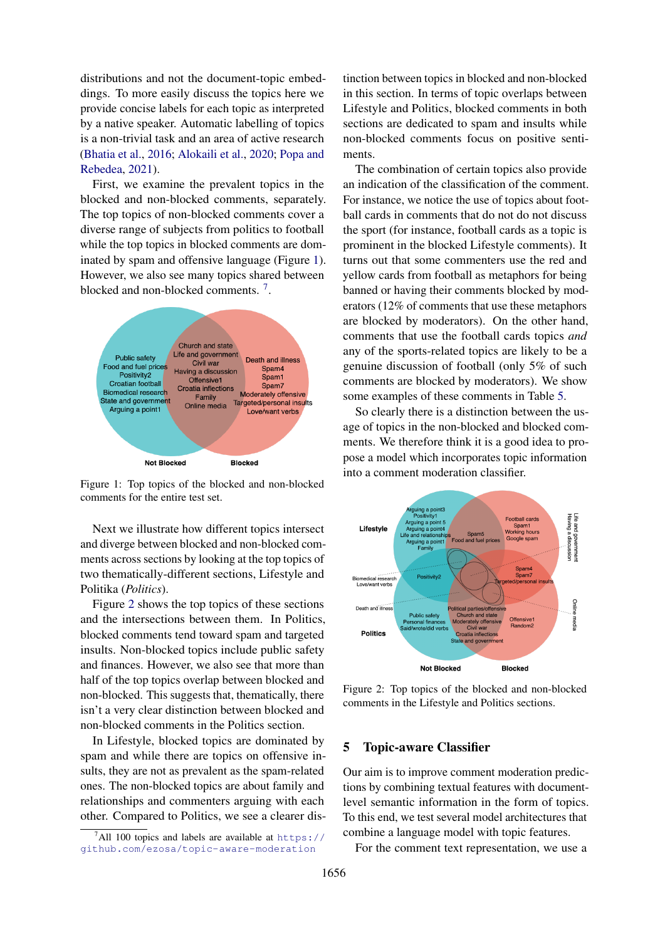distributions and not the document-topic embeddings. To more easily discuss the topics here we provide concise labels for each topic as interpreted by a native speaker. Automatic labelling of topics is a non-trivial task and an area of active research [\(Bhatia et al.,](#page-8-3) [2016;](#page-8-3) [Alokaili et al.,](#page-8-4) [2020;](#page-8-4) [Popa and](#page-9-15) [Rebedea,](#page-9-15) [2021\)](#page-9-15).

First, we examine the prevalent topics in the blocked and non-blocked comments, separately. The top topics of non-blocked comments cover a diverse range of subjects from politics to football while the top topics in blocked comments are dominated by spam and offensive language (Figure [1\)](#page-4-0). However, we also see many topics shared between blocked and non-blocked comments.<sup>[7](#page-4-1)</sup>.

<span id="page-4-0"></span>

Figure 1: Top topics of the blocked and non-blocked comments for the entire test set.

Next we illustrate how different topics intersect and diverge between blocked and non-blocked comments across sections by looking at the top topics of two thematically-different sections, Lifestyle and Politika (*Politics*).

Figure [2](#page-4-2) shows the top topics of these sections and the intersections between them. In Politics, blocked comments tend toward spam and targeted insults. Non-blocked topics include public safety and finances. However, we also see that more than half of the top topics overlap between blocked and non-blocked. This suggests that, thematically, there isn't a very clear distinction between blocked and non-blocked comments in the Politics section.

In Lifestyle, blocked topics are dominated by spam and while there are topics on offensive insults, they are not as prevalent as the spam-related ones. The non-blocked topics are about family and relationships and commenters arguing with each other. Compared to Politics, we see a clearer distinction between topics in blocked and non-blocked in this section. In terms of topic overlaps between Lifestyle and Politics, blocked comments in both sections are dedicated to spam and insults while non-blocked comments focus on positive sentiments.

The combination of certain topics also provide an indication of the classification of the comment. For instance, we notice the use of topics about football cards in comments that do not do not discuss the sport (for instance, football cards as a topic is prominent in the blocked Lifestyle comments). It turns out that some commenters use the red and yellow cards from football as metaphors for being banned or having their comments blocked by moderators (12% of comments that use these metaphors are blocked by moderators). On the other hand, comments that use the football cards topics *and* any of the sports-related topics are likely to be a genuine discussion of football (only 5% of such comments are blocked by moderators). We show some examples of these comments in Table [5.](#page-7-0)

So clearly there is a distinction between the usage of topics in the non-blocked and blocked comments. We therefore think it is a good idea to propose a model which incorporates topic information into a comment moderation classifier.

<span id="page-4-2"></span>

Figure 2: Top topics of the blocked and non-blocked comments in the Lifestyle and Politics sections.

### 5 Topic-aware Classifier

Our aim is to improve comment moderation predictions by combining textual features with documentlevel semantic information in the form of topics. To this end, we test several model architectures that combine a language model with topic features.

For the comment text representation, we use a

<span id="page-4-1"></span><sup>&</sup>lt;sup>7</sup>All 100 topics and labels are available at [https://](https://github.com/ezosa/topic-aware-moderation) [github.com/ezosa/topic-aware-moderation](https://github.com/ezosa/topic-aware-moderation)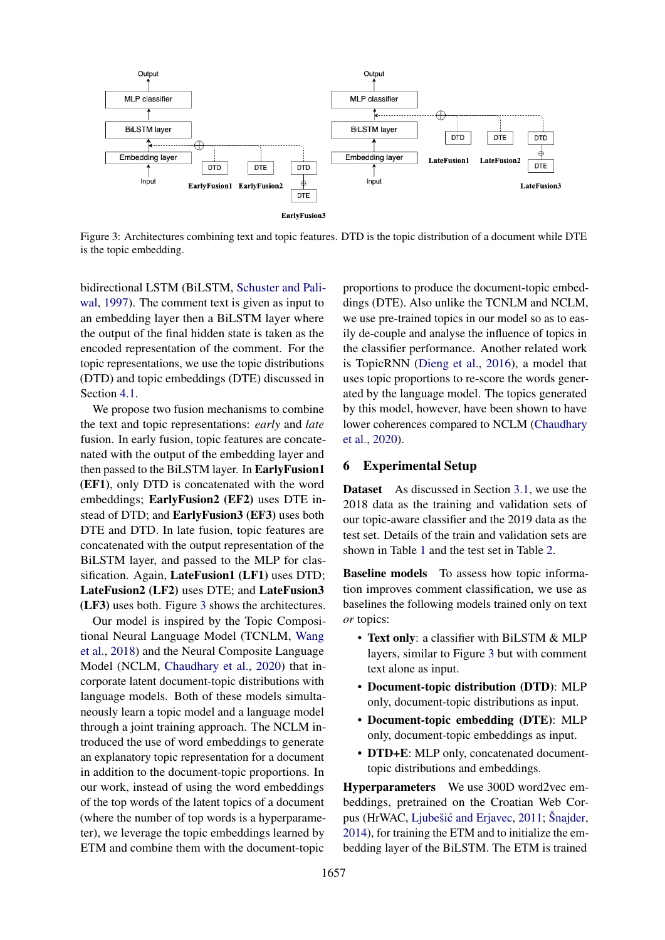<span id="page-5-0"></span>

Figure 3: Architectures combining text and topic features. DTD is the topic distribution of a document while DTE is the topic embedding.

bidirectional LSTM (BiLSTM, [Schuster and Pali](#page-9-16)[wal,](#page-9-16) [1997\)](#page-9-16). The comment text is given as input to an embedding layer then a BiLSTM layer where the output of the final hidden state is taken as the encoded representation of the comment. For the topic representations, we use the topic distributions (DTD) and topic embeddings (DTE) discussed in Section [4.1.](#page-3-1)

We propose two fusion mechanisms to combine the text and topic representations: *early* and *late* fusion. In early fusion, topic features are concatenated with the output of the embedding layer and then passed to the BiLSTM layer. In EarlyFusion1 (EF1), only DTD is concatenated with the word embeddings; EarlyFusion2 (EF2) uses DTE instead of DTD; and EarlyFusion3 (EF3) uses both DTE and DTD. In late fusion, topic features are concatenated with the output representation of the BiLSTM layer, and passed to the MLP for classification. Again, LateFusion1 (LF1) uses DTD; LateFusion2 (LF2) uses DTE; and LateFusion3 (LF3) uses both. Figure [3](#page-5-0) shows the architectures.

Our model is inspired by the Topic Compositional Neural Language Model (TCNLM, [Wang](#page-10-2) [et al.,](#page-10-2) [2018\)](#page-10-2) and the Neural Composite Language Model (NCLM, [Chaudhary et al.,](#page-8-5) [2020\)](#page-8-5) that incorporate latent document-topic distributions with language models. Both of these models simultaneously learn a topic model and a language model through a joint training approach. The NCLM introduced the use of word embeddings to generate an explanatory topic representation for a document in addition to the document-topic proportions. In our work, instead of using the word embeddings of the top words of the latent topics of a document (where the number of top words is a hyperparameter), we leverage the topic embeddings learned by ETM and combine them with the document-topic proportions to produce the document-topic embeddings (DTE). Also unlike the TCNLM and NCLM, we use pre-trained topics in our model so as to easily de-couple and analyse the influence of topics in the classifier performance. Another related work is TopicRNN [\(Dieng et al.,](#page-8-6) [2016\)](#page-8-6), a model that uses topic proportions to re-score the words generated by the language model. The topics generated by this model, however, have been shown to have lower coherences compared to NCLM [\(Chaudhary](#page-8-5) [et al.,](#page-8-5) [2020\)](#page-8-5).

# 6 Experimental Setup

Dataset As discussed in Section [3.1,](#page-2-4) we use the 2018 data as the training and validation sets of our topic-aware classifier and the 2019 data as the test set. Details of the train and validation sets are shown in Table [1](#page-2-3) and the test set in Table [2.](#page-2-2)

Baseline models To assess how topic information improves comment classification, we use as baselines the following models trained only on text *or* topics:

- Text only: a classifier with BiLSTM & MLP layers, similar to Figure [3](#page-5-0) but with comment text alone as input.
- Document-topic distribution (DTD): MLP only, document-topic distributions as input.
- Document-topic embedding (DTE): MLP only, document-topic embeddings as input.
- DTD+E: MLP only, concatenated documenttopic distributions and embeddings.

Hyperparameters We use 300D word2vec embeddings, pretrained on the Croatian Web Cor-pus (HrWAC, Ljubešić and Erjavec, [2011;](#page-9-17) [Šnajder,](#page-9-18) [2014\)](#page-9-18), for training the ETM and to initialize the embedding layer of the BiLSTM. The ETM is trained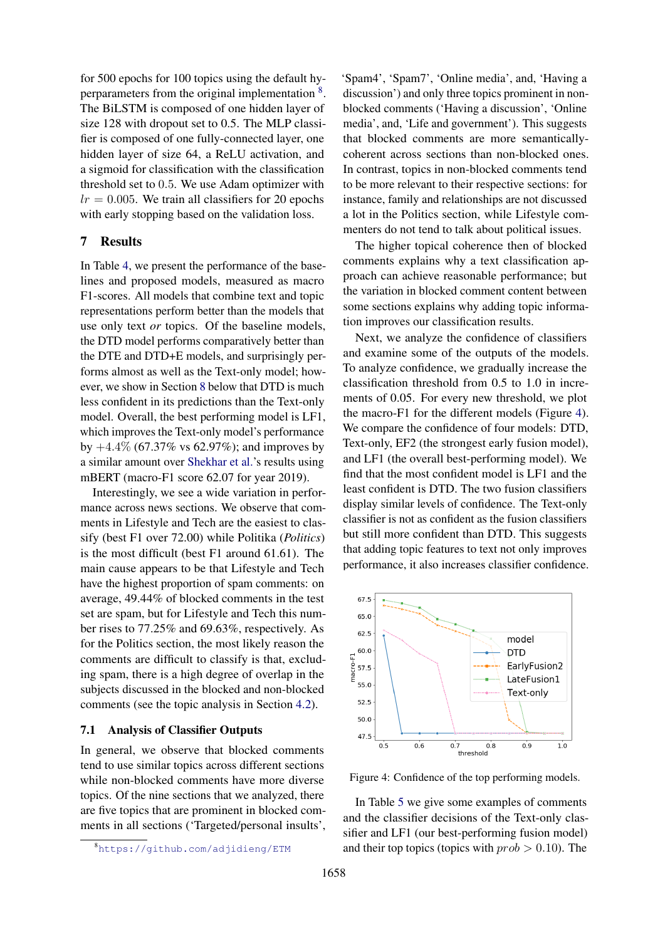for 500 epochs for 100 topics using the default hy-perparameters from the original implementation <sup>[8](#page-6-0)</sup>. The BiLSTM is composed of one hidden layer of size 128 with dropout set to 0.5. The MLP classifier is composed of one fully-connected layer, one hidden layer of size 64, a ReLU activation, and a sigmoid for classification with the classification threshold set to 0.5. We use Adam optimizer with  $lr = 0.005$ . We train all classifiers for 20 epochs with early stopping based on the validation loss.

# 7 Results

In Table [4,](#page-7-1) we present the performance of the baselines and proposed models, measured as macro F1-scores. All models that combine text and topic representations perform better than the models that use only text *or* topics. Of the baseline models, the DTD model performs comparatively better than the DTE and DTD+E models, and surprisingly performs almost as well as the Text-only model; however, we show in Section [8](#page-8-7) below that DTD is much less confident in its predictions than the Text-only model. Overall, the best performing model is LF1, which improves the Text-only model's performance by  $+4.4\%$  (67.37% vs 62.97%); and improves by a similar amount over [Shekhar et al.'](#page-9-2)s results using mBERT (macro-F1 score 62.07 for year 2019).

Interestingly, we see a wide variation in performance across news sections. We observe that comments in Lifestyle and Tech are the easiest to classify (best F1 over 72.00) while Politika (*Politics*) is the most difficult (best F1 around 61.61). The main cause appears to be that Lifestyle and Tech have the highest proportion of spam comments: on average, 49.44% of blocked comments in the test set are spam, but for Lifestyle and Tech this number rises to 77.25% and 69.63%, respectively. As for the Politics section, the most likely reason the comments are difficult to classify is that, excluding spam, there is a high degree of overlap in the subjects discussed in the blocked and non-blocked comments (see the topic analysis in Section [4.2\)](#page-3-2).

## 7.1 Analysis of Classifier Outputs

In general, we observe that blocked comments tend to use similar topics across different sections while non-blocked comments have more diverse topics. Of the nine sections that we analyzed, there are five topics that are prominent in blocked comments in all sections ('Targeted/personal insults', 'Spam4', 'Spam7', 'Online media', and, 'Having a discussion') and only three topics prominent in nonblocked comments ('Having a discussion', 'Online media', and, 'Life and government'). This suggests that blocked comments are more semanticallycoherent across sections than non-blocked ones. In contrast, topics in non-blocked comments tend to be more relevant to their respective sections: for instance, family and relationships are not discussed a lot in the Politics section, while Lifestyle commenters do not tend to talk about political issues.

The higher topical coherence then of blocked comments explains why a text classification approach can achieve reasonable performance; but the variation in blocked comment content between some sections explains why adding topic information improves our classification results.

Next, we analyze the confidence of classifiers and examine some of the outputs of the models. To analyze confidence, we gradually increase the classification threshold from 0.5 to 1.0 in increments of 0.05. For every new threshold, we plot the macro-F1 for the different models (Figure [4\)](#page-6-1). We compare the confidence of four models: DTD, Text-only, EF2 (the strongest early fusion model), and LF1 (the overall best-performing model). We find that the most confident model is LF1 and the least confident is DTD. The two fusion classifiers display similar levels of confidence. The Text-only classifier is not as confident as the fusion classifiers but still more confident than DTD. This suggests that adding topic features to text not only improves performance, it also increases classifier confidence.

<span id="page-6-1"></span>

Figure 4: Confidence of the top performing models.

In Table [5](#page-7-0) we give some examples of comments and the classifier decisions of the Text-only classifier and LF1 (our best-performing fusion model) and their top topics (topics with  $prob > 0.10$ ). The

<span id="page-6-0"></span><sup>8</sup><https://github.com/adjidieng/ETM>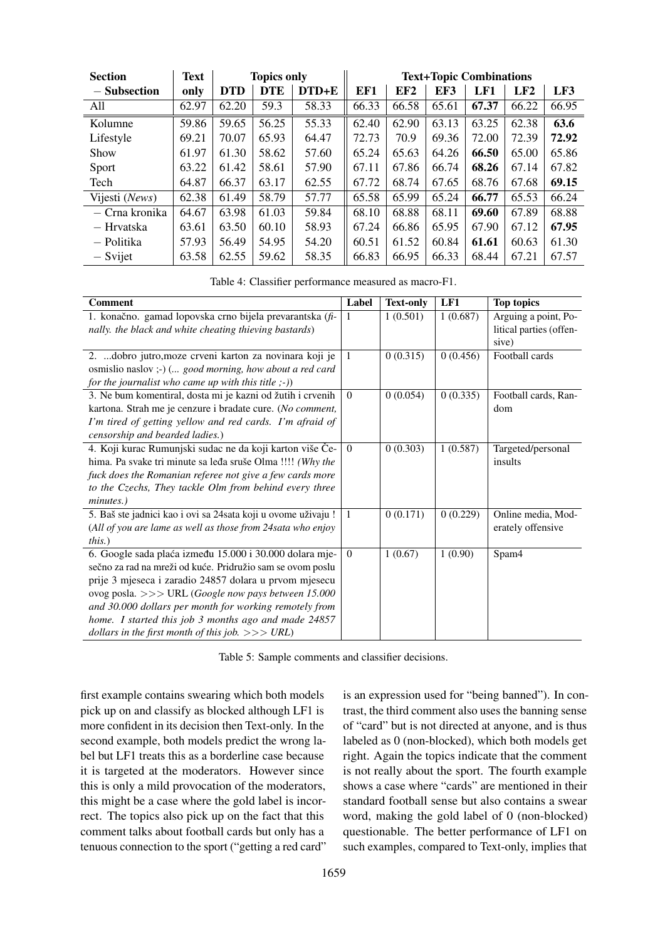<span id="page-7-1"></span>

| <b>Section</b> | <b>Text</b> |            | <b>Topics only</b> |       | <b>Text+Topic Combinations</b> |       |       |       |       |       |
|----------------|-------------|------------|--------------------|-------|--------------------------------|-------|-------|-------|-------|-------|
| $-$ Subsection | only        | <b>DTD</b> | <b>DTE</b>         | DTD+E | EF1                            | EF2   | EF3   | LF1   | LF2   | LF3   |
| All            | 62.97       | 62.20      | 59.3               | 58.33 | 66.33                          | 66.58 | 65.61 | 67.37 | 66.22 | 66.95 |
| Kolumne        | 59.86       | 59.65      | 56.25              | 55.33 | 62.40                          | 62.90 | 63.13 | 63.25 | 62.38 | 63.6  |
| Lifestyle      | 69.21       | 70.07      | 65.93              | 64.47 | 72.73                          | 70.9  | 69.36 | 72.00 | 72.39 | 72.92 |
| Show           | 61.97       | 61.30      | 58.62              | 57.60 | 65.24                          | 65.63 | 64.26 | 66.50 | 65.00 | 65.86 |
| Sport          | 63.22       | 61.42      | 58.61              | 57.90 | 67.11                          | 67.86 | 66.74 | 68.26 | 67.14 | 67.82 |
| Tech           | 64.87       | 66.37      | 63.17              | 62.55 | 67.72                          | 68.74 | 67.65 | 68.76 | 67.68 | 69.15 |
| Vijesti (News) | 62.38       | 61.49      | 58.79              | 57.77 | 65.58                          | 65.99 | 65.24 | 66.77 | 65.53 | 66.24 |
| — Crna kronika | 64.67       | 63.98      | 61.03              | 59.84 | 68.10                          | 68.88 | 68.11 | 69.60 | 67.89 | 68.88 |
| — Hrvatska     | 63.61       | 63.50      | 60.10              | 58.93 | 67.24                          | 66.86 | 65.95 | 67.90 | 67.12 | 67.95 |
| — Politika     | 57.93       | 56.49      | 54.95              | 54.20 | 60.51                          | 61.52 | 60.84 | 61.61 | 60.63 | 61.30 |
| - Svijet       | 63.58       | 62.55      | 59.62              | 58.35 | 66.83                          | 66.95 | 66.33 | 68.44 | 67.21 | 67.57 |

Table 4: Classifier performance measured as macro-F1.

<span id="page-7-0"></span>

| <b>Comment</b>                                               | Label        | <b>Text-only</b> | LF1      | <b>Top topics</b>       |
|--------------------------------------------------------------|--------------|------------------|----------|-------------------------|
| 1. konačno. gamad lopovska crno bijela prevarantska (fi-     | -1           | 1(0.501)         | 1(0.687) | Arguing a point, Po-    |
| nally. the black and white cheating thieving bastards)       |              |                  |          | litical parties (offen- |
|                                                              |              |                  |          | sive)                   |
| 2.  dobro jutro, moze crveni karton za novinara koji je      | 1            | 0(0.315)         | 0(0.456) | Football cards          |
| osmislio naslov ;-) ( good morning, how about a red card     |              |                  |          |                         |
| for the journalist who came up with this title $;-$ )        |              |                  |          |                         |
| 3. Ne bum komentiral, dosta mi je kazni od žutih i crvenih   | $\mathbf{0}$ | 0(0.054)         | 0(0.335) | Football cards, Ran-    |
| kartona. Strah me je cenzure i bradate cure. (No comment,    |              |                  |          | dom                     |
| I'm tired of getting yellow and red cards. I'm afraid of     |              |                  |          |                         |
| censorship and bearded ladies.)                              |              |                  |          |                         |
| 4. Koji kurac Rumunjski sudac ne da koji karton više Če-     | $\theta$     | 0(0.303)         | 1(0.587) | Targeted/personal       |
| hima. Pa svake tri minute sa leđa sruše Olma !!!! (Why the   |              |                  |          | insults                 |
| fuck does the Romanian referee not give a few cards more     |              |                  |          |                         |
| to the Czechs, They tackle Olm from behind every three       |              |                  |          |                         |
| minutes.)                                                    |              |                  |          |                         |
| 5. Baš ste jadnici kao i ovi sa 24sata koji u ovome uživaju! | $\mathbf{1}$ | 0(0.171)         | 0(0.229) | Online media, Mod-      |
| (All of you are lame as well as those from 24 sata who enjoy |              |                  |          | erately offensive       |
| <i>this.</i> )                                               |              |                  |          |                         |
| 6. Google sada plaća između 15.000 i 30.000 dolara mje-      | $\Omega$     | 1(0.67)          | 1(0.90)  | Spam4                   |
| sečno za rad na mreži od kuće. Pridružio sam se ovom poslu   |              |                  |          |                         |
| prije 3 mjeseca i zaradio 24857 dolara u prvom mjesecu       |              |                  |          |                         |
| ovog posla. >>> URL (Google now pays between 15.000          |              |                  |          |                         |
| and 30.000 dollars per month for working remotely from       |              |                  |          |                         |
| home. I started this job 3 months ago and made 24857         |              |                  |          |                         |
| dollars in the first month of this job. $>>$ URL)            |              |                  |          |                         |

Table 5: Sample comments and classifier decisions.

first example contains swearing which both models pick up on and classify as blocked although LF1 is more confident in its decision then Text-only. In the second example, both models predict the wrong label but LF1 treats this as a borderline case because it is targeted at the moderators. However since this is only a mild provocation of the moderators, this might be a case where the gold label is incorrect. The topics also pick up on the fact that this comment talks about football cards but only has a tenuous connection to the sport ("getting a red card" is an expression used for "being banned"). In contrast, the third comment also uses the banning sense of "card" but is not directed at anyone, and is thus labeled as 0 (non-blocked), which both models get right. Again the topics indicate that the comment is not really about the sport. The fourth example shows a case where "cards" are mentioned in their standard football sense but also contains a swear word, making the gold label of 0 (non-blocked) questionable. The better performance of LF1 on such examples, compared to Text-only, implies that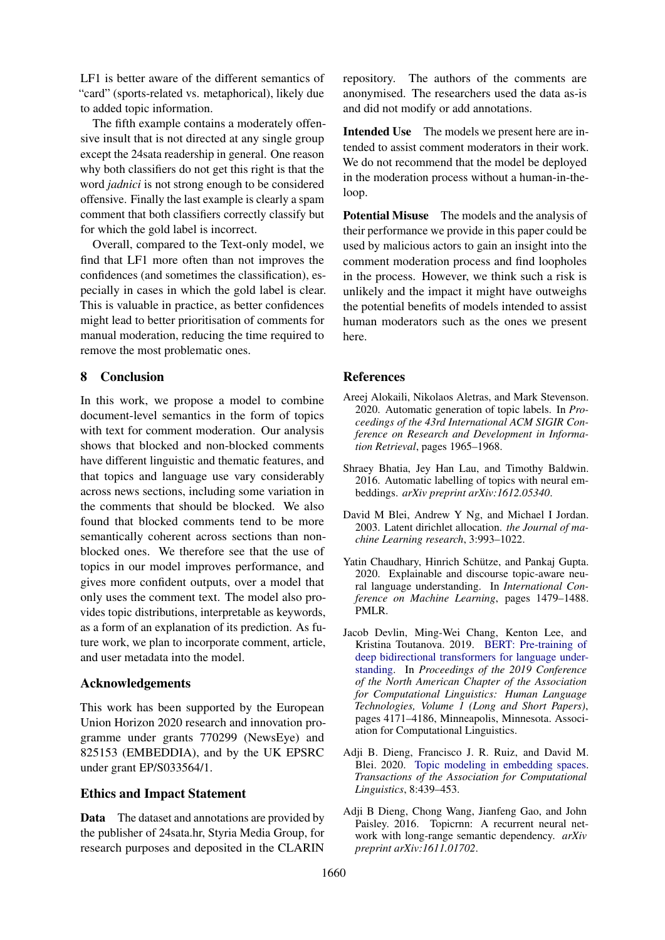LF1 is better aware of the different semantics of "card" (sports-related vs. metaphorical), likely due to added topic information.

The fifth example contains a moderately offensive insult that is not directed at any single group except the 24sata readership in general. One reason why both classifiers do not get this right is that the word *jadnici* is not strong enough to be considered offensive. Finally the last example is clearly a spam comment that both classifiers correctly classify but for which the gold label is incorrect.

Overall, compared to the Text-only model, we find that LF1 more often than not improves the confidences (and sometimes the classification), especially in cases in which the gold label is clear. This is valuable in practice, as better confidences might lead to better prioritisation of comments for manual moderation, reducing the time required to remove the most problematic ones.

# <span id="page-8-7"></span>8 Conclusion

In this work, we propose a model to combine document-level semantics in the form of topics with text for comment moderation. Our analysis shows that blocked and non-blocked comments have different linguistic and thematic features, and that topics and language use vary considerably across news sections, including some variation in the comments that should be blocked. We also found that blocked comments tend to be more semantically coherent across sections than nonblocked ones. We therefore see that the use of topics in our model improves performance, and gives more confident outputs, over a model that only uses the comment text. The model also provides topic distributions, interpretable as keywords, as a form of an explanation of its prediction. As future work, we plan to incorporate comment, article, and user metadata into the model.

### Acknowledgements

This work has been supported by the European Union Horizon 2020 research and innovation programme under grants 770299 (NewsEye) and 825153 (EMBEDDIA), and by the UK EPSRC under grant EP/S033564/1.

### Ethics and Impact Statement

Data The dataset and annotations are provided by the publisher of 24sata.hr, Styria Media Group, for research purposes and deposited in the CLARIN repository. The authors of the comments are anonymised. The researchers used the data as-is and did not modify or add annotations.

Intended Use The models we present here are intended to assist comment moderators in their work. We do not recommend that the model be deployed in the moderation process without a human-in-theloop.

Potential Misuse The models and the analysis of their performance we provide in this paper could be used by malicious actors to gain an insight into the comment moderation process and find loopholes in the process. However, we think such a risk is unlikely and the impact it might have outweighs the potential benefits of models intended to assist human moderators such as the ones we present here.

# References

- <span id="page-8-4"></span>Areej Alokaili, Nikolaos Aletras, and Mark Stevenson. 2020. Automatic generation of topic labels. In *Proceedings of the 43rd International ACM SIGIR Conference on Research and Development in Information Retrieval*, pages 1965–1968.
- <span id="page-8-3"></span>Shraey Bhatia, Jey Han Lau, and Timothy Baldwin. 2016. Automatic labelling of topics with neural embeddings. *arXiv preprint arXiv:1612.05340*.
- <span id="page-8-2"></span>David M Blei, Andrew Y Ng, and Michael I Jordan. 2003. Latent dirichlet allocation. *the Journal of machine Learning research*, 3:993–1022.
- <span id="page-8-5"></span>Yatin Chaudhary, Hinrich Schütze, and Pankaj Gupta. 2020. Explainable and discourse topic-aware neural language understanding. In *International Conference on Machine Learning*, pages 1479–1488. PMLR.
- <span id="page-8-1"></span>Jacob Devlin, Ming-Wei Chang, Kenton Lee, and Kristina Toutanova. 2019. [BERT: Pre-training of](https://doi.org/10.18653/v1/N19-1423) [deep bidirectional transformers for language under](https://doi.org/10.18653/v1/N19-1423)[standing.](https://doi.org/10.18653/v1/N19-1423) In *Proceedings of the 2019 Conference of the North American Chapter of the Association for Computational Linguistics: Human Language Technologies, Volume 1 (Long and Short Papers)*, pages 4171–4186, Minneapolis, Minnesota. Association for Computational Linguistics.
- <span id="page-8-0"></span>Adji B. Dieng, Francisco J. R. Ruiz, and David M. Blei. 2020. [Topic modeling in embedding spaces.](https://doi.org/10.1162/tacl_a_00325) *Transactions of the Association for Computational Linguistics*, 8:439–453.
- <span id="page-8-6"></span>Adji B Dieng, Chong Wang, Jianfeng Gao, and John Paisley. 2016. Topicrnn: A recurrent neural network with long-range semantic dependency. *arXiv preprint arXiv:1611.01702*.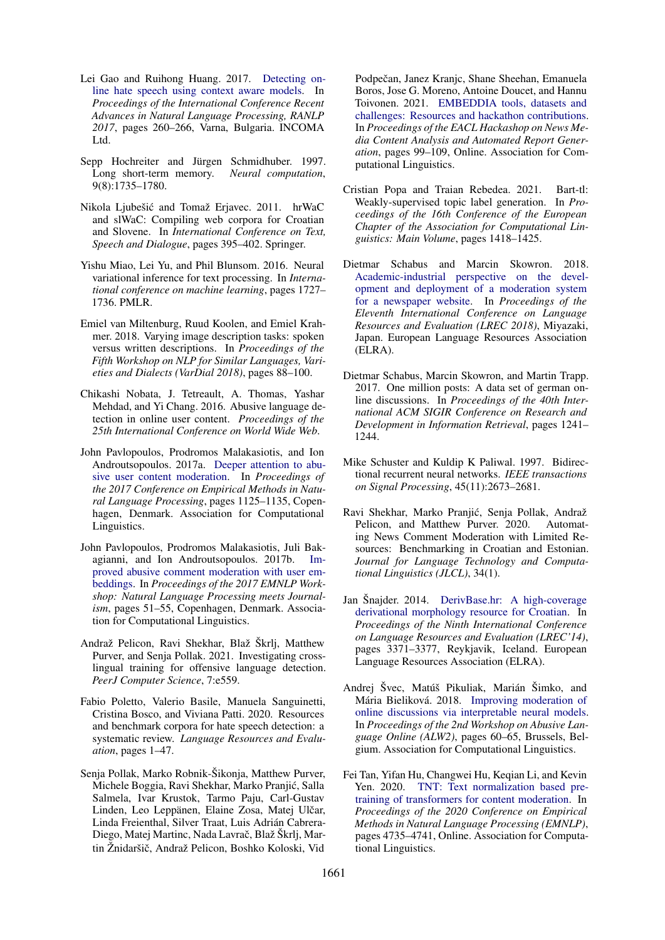- <span id="page-9-8"></span>Lei Gao and Ruihong Huang. 2017. [Detecting on](https://doi.org/10.26615/978-954-452-049-6_036)[line hate speech using context aware models.](https://doi.org/10.26615/978-954-452-049-6_036) In *Proceedings of the International Conference Recent Advances in Natural Language Processing, RANLP 2017*, pages 260–266, Varna, Bulgaria. INCOMA Ltd.
- <span id="page-9-4"></span>Sepp Hochreiter and Jürgen Schmidhuber. 1997. Long short-term memory. *Neural computation*, 9(8):1735–1780.
- <span id="page-9-17"></span>Nikola Ljubešic and Tomaž Erjavec. 2011. hrWaC ´ and slWaC: Compiling web corpora for Croatian and Slovene. In *International Conference on Text, Speech and Dialogue*, pages 395–402. Springer.
- <span id="page-9-14"></span>Yishu Miao, Lei Yu, and Phil Blunsom. 2016. Neural variational inference for text processing. In *International conference on machine learning*, pages 1727– 1736. PMLR.
- <span id="page-9-13"></span>Emiel van Miltenburg, Ruud Koolen, and Emiel Krahmer. 2018. Varying image description tasks: spoken versus written descriptions. In *Proceedings of the Fifth Workshop on NLP for Similar Languages, Varieties and Dialects (VarDial 2018)*, pages 88–100.
- <span id="page-9-5"></span>Chikashi Nobata, J. Tetreault, A. Thomas, Yashar Mehdad, and Yi Chang. 2016. Abusive language detection in online user content. *Proceedings of the 25th International Conference on World Wide Web*.
- <span id="page-9-0"></span>John Pavlopoulos, Prodromos Malakasiotis, and Ion Androutsopoulos. 2017a. [Deeper attention to abu](https://doi.org/10.18653/v1/D17-1117)[sive user content moderation.](https://doi.org/10.18653/v1/D17-1117) In *Proceedings of the 2017 Conference on Empirical Methods in Natural Language Processing*, pages 1125–1135, Copenhagen, Denmark. Association for Computational Linguistics.
- <span id="page-9-9"></span>John Pavlopoulos, Prodromos Malakasiotis, Juli Bakagianni, and Ion Androutsopoulos. 2017b. [Im](https://doi.org/10.18653/v1/W17-4209)[proved abusive comment moderation with user em](https://doi.org/10.18653/v1/W17-4209)[beddings.](https://doi.org/10.18653/v1/W17-4209) In *Proceedings of the 2017 EMNLP Workshop: Natural Language Processing meets Journalism*, pages 51–55, Copenhagen, Denmark. Association for Computational Linguistics.
- <span id="page-9-10"></span>Andraž Pelicon, Ravi Shekhar, Blaž Škrlj, Matthew Purver, and Senja Pollak. 2021. Investigating crosslingual training for offensive language detection. *PeerJ Computer Science*, 7:e559.
- <span id="page-9-11"></span>Fabio Poletto, Valerio Basile, Manuela Sanguinetti, Cristina Bosco, and Viviana Patti. 2020. Resources and benchmark corpora for hate speech detection: a systematic review. *Language Resources and Evaluation*, pages 1–47.
- <span id="page-9-12"></span>Senja Pollak, Marko Robnik-Šikonja, Matthew Purver, Michele Boggia, Ravi Shekhar, Marko Pranjic, Salla ´ Salmela, Ivar Krustok, Tarmo Paju, Carl-Gustav Linden, Leo Leppänen, Elaine Zosa, Matej Ulčar, Linda Freienthal, Silver Traat, Luis Adrián Cabrera-Diego, Matej Martinc, Nada Lavrač, Blaž Škrlj, Martin Žnidaršič, Andraž Pelicon, Boshko Koloski, Vid

Podpečan, Janez Kranic, Shane Sheehan, Emanuela Boros, Jose G. Moreno, Antoine Doucet, and Hannu Toivonen. 2021. [EMBEDDIA tools, datasets and](https://www.aclweb.org/anthology/2021.hackashop-1.14) [challenges: Resources and hackathon contributions.](https://www.aclweb.org/anthology/2021.hackashop-1.14) In *Proceedings of the EACL Hackashop on News Media Content Analysis and Automated Report Generation*, pages 99–109, Online. Association for Computational Linguistics.

- <span id="page-9-15"></span>Cristian Popa and Traian Rebedea. 2021. Bart-tl: Weakly-supervised topic label generation. In *Proceedings of the 16th Conference of the European Chapter of the Association for Computational Linguistics: Main Volume*, pages 1418–1425.
- <span id="page-9-1"></span>Dietmar Schabus and Marcin Skowron. 2018. [Academic-industrial perspective on the devel](https://www.aclweb.org/anthology/L18-1253)[opment and deployment of a moderation system](https://www.aclweb.org/anthology/L18-1253) [for a newspaper website.](https://www.aclweb.org/anthology/L18-1253) In *Proceedings of the Eleventh International Conference on Language Resources and Evaluation (LREC 2018)*, Miyazaki, Japan. European Language Resources Association (ELRA).
- <span id="page-9-7"></span>Dietmar Schabus, Marcin Skowron, and Martin Trapp. 2017. One million posts: A data set of german online discussions. In *Proceedings of the 40th International ACM SIGIR Conference on Research and Development in Information Retrieval*, pages 1241– 1244.
- <span id="page-9-16"></span>Mike Schuster and Kuldip K Paliwal. 1997. Bidirectional recurrent neural networks. *IEEE transactions on Signal Processing*, 45(11):2673–2681.
- <span id="page-9-2"></span>Ravi Shekhar, Marko Pranjic, Senja Pollak, Andraž ´ Pelicon, and Matthew Purver. 2020. Automating News Comment Moderation with Limited Resources: Benchmarking in Croatian and Estonian. *Journal for Language Technology and Computational Linguistics (JLCL)*, 34(1).
- <span id="page-9-18"></span>Jan Šnajder. 2014. [DerivBase.hr: A high-coverage](http://www.lrec-conf.org/proceedings/lrec2014/pdf/1090_Paper.pdf) [derivational morphology resource for Croatian.](http://www.lrec-conf.org/proceedings/lrec2014/pdf/1090_Paper.pdf) In *Proceedings of the Ninth International Conference on Language Resources and Evaluation (LREC'14)*, pages 3371–3377, Reykjavik, Iceland. European Language Resources Association (ELRA).
- <span id="page-9-3"></span>Andrej Švec, Matúš Pikuliak, Marián Šimko, and Mária Bieliková. 2018. [Improving moderation of](https://doi.org/10.18653/v1/W18-5108) [online discussions via interpretable neural models.](https://doi.org/10.18653/v1/W18-5108) In *Proceedings of the 2nd Workshop on Abusive Language Online (ALW2)*, pages 60–65, Brussels, Belgium. Association for Computational Linguistics.
- <span id="page-9-6"></span>Fei Tan, Yifan Hu, Changwei Hu, Keqian Li, and Kevin Yen. 2020. [TNT: Text normalization based pre](https://doi.org/10.18653/v1/2020.emnlp-main.383)[training of transformers for content moderation.](https://doi.org/10.18653/v1/2020.emnlp-main.383) In *Proceedings of the 2020 Conference on Empirical Methods in Natural Language Processing (EMNLP)*, pages 4735–4741, Online. Association for Computational Linguistics.